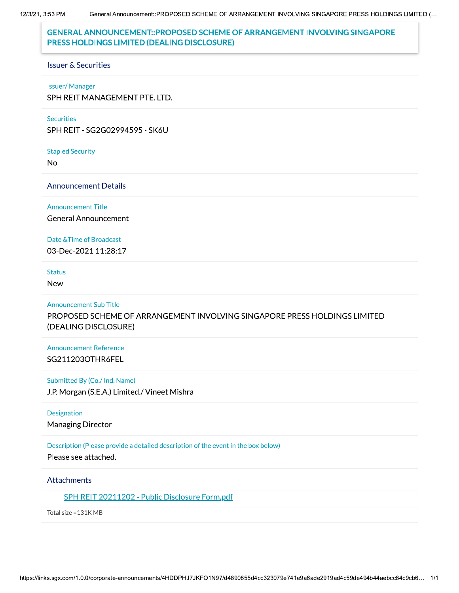12/3/21, 3:53 PM

# **GENERAL ANNOUNCEMENT::PROPOSED SCHEME OF ARRANGEMENT INVOLVING SINGAPORE** PRESS HOLDINGS LIMITED (DEALING DISCLOSURE)

#### **Issuer & Securities**

#### **Issuer/Manager**

SPH REIT MANAGEMENT PTE. LTD.

#### **Securities**

SPH REIT - SG2G02994595 - SK6U

**Stapled Security** 

**No** 

**Announcement Details** 

#### **Announcement Title**

**General Announcement** 

### Date & Time of Broadcast

03-Dec-2021 11:28:17

### **Status**

**New** 

### **Announcement Sub Title**

PROPOSED SCHEME OF ARRANGEMENT INVOLVING SINGAPORE PRESS HOLDINGS LIMITED (DEALING DISCLOSURE)

### **Announcement Reference** SG211203OTHR6FEL

### Submitted By (Co./ Ind. Name)

J.P. Morgan (S.E.A.) Limited./ Vineet Mishra

### Designation

**Managing Director** 

### Description (Please provide a detailed description of the event in the box below)

Please see attached.

### **Attachments**

SPH REIT 20211202 - Public Disclosure Form.pdf

Total size = 131K MB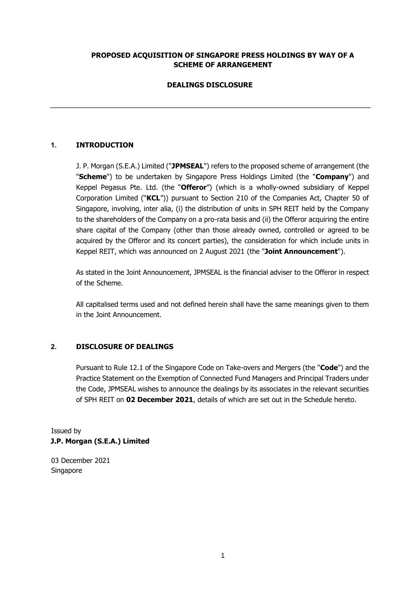## **PROPOSED ACQUISITION OF SINGAPORE PRESS HOLDINGS BY WAY OF A SCHEME OF ARRANGEMENT**

## **DEALINGS DISCLOSURE**

## **1. INTRODUCTION**

J. P. Morgan (S.E.A.) Limited ("**JPMSEAL**") refers to the proposed scheme of arrangement (the "**Scheme**") to be undertaken by Singapore Press Holdings Limited (the "**Company**") and Keppel Pegasus Pte. Ltd. (the "**Offeror**") (which is a wholly-owned subsidiary of Keppel Corporation Limited ("**KCL**")) pursuant to Section 210 of the Companies Act, Chapter 50 of Singapore, involving, inter alia, (i) the distribution of units in SPH REIT held by the Company to the shareholders of the Company on a pro-rata basis and (ii) the Offeror acquiring the entire share capital of the Company (other than those already owned, controlled or agreed to be acquired by the Offeror and its concert parties), the consideration for which include units in Keppel REIT, which was announced on 2 August 2021 (the "**Joint Announcement**").

As stated in the Joint Announcement, JPMSEAL is the financial adviser to the Offeror in respect of the Scheme.

All capitalised terms used and not defined herein shall have the same meanings given to them in the Joint Announcement.

### **2. DISCLOSURE OF DEALINGS**

Pursuant to Rule 12.1 of the Singapore Code on Take-overs and Mergers (the "**Code**") and the Practice Statement on the Exemption of Connected Fund Managers and Principal Traders under the Code, JPMSEAL wishes to announce the dealings by its associates in the relevant securities of SPH REIT on **02 December 2021**, details of which are set out in the Schedule hereto.

Issued by **J.P. Morgan (S.E.A.) Limited** 

03 December 2021 Singapore